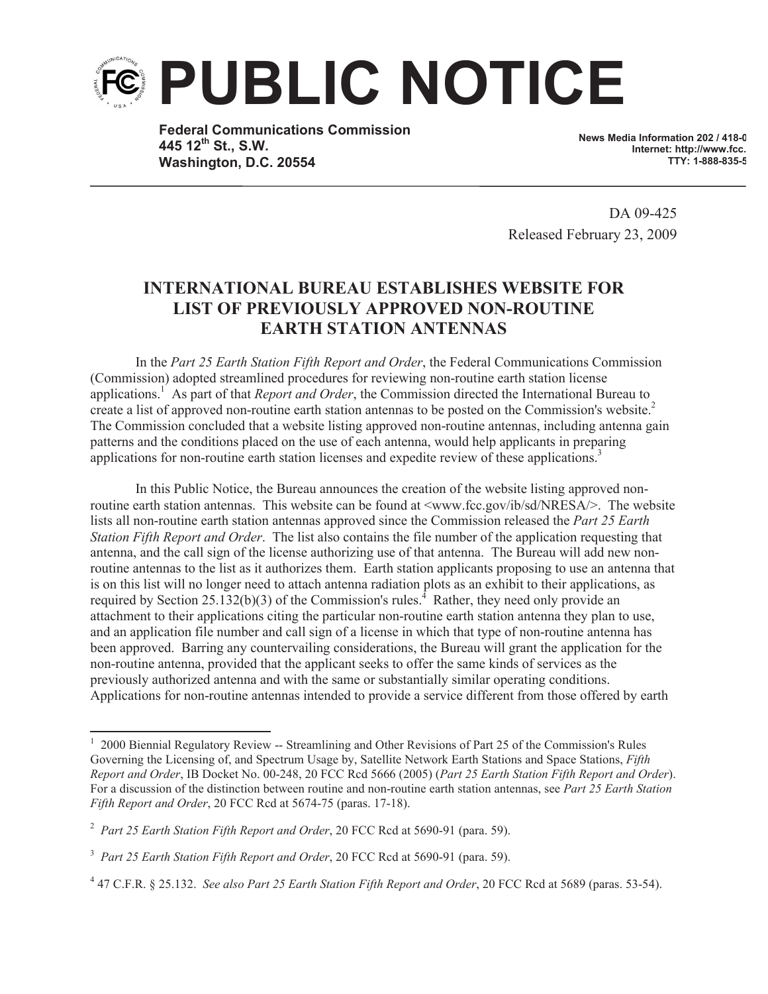

**Federal Communications Commission 445 12th St., S.W. Washington, D.C. 20554**

**News Media Information 202 / 418-0 Internet: http://www.fcc. TTY: 1-888-835-5322**

DA 09-425 Released February 23, 2009

## **INTERNATIONAL BUREAU ESTABLISHES WEBSITE FOR LIST OF PREVIOUSLY APPROVED NON-ROUTINE EARTH STATION ANTENNAS**

In the *Part 25 Earth Station Fifth Report and Order*, the Federal Communications Commission (Commission) adopted streamlined procedures for reviewing non-routine earth station license applications.<sup>1</sup> As part of that *Report and Order*, the Commission directed the International Bureau to create a list of approved non-routine earth station antennas to be posted on the Commission's website.<sup>2</sup> The Commission concluded that a website listing approved non-routine antennas, including antenna gain patterns and the conditions placed on the use of each antenna, would help applicants in preparing applications for non-routine earth station licenses and expedite review of these applications.<sup>3</sup>

In this Public Notice, the Bureau announces the creation of the website listing approved nonroutine earth station antennas. This website can be found at  $\langle$ www.fcc.gov/ib/sd/NRESA/ $>$ . The website lists all non-routine earth station antennas approved since the Commission released the *Part 25 Earth Station Fifth Report and Order*. The list also contains the file number of the application requesting that antenna, and the call sign of the license authorizing use of that antenna. The Bureau will add new nonroutine antennas to the list as it authorizes them. Earth station applicants proposing to use an antenna that is on this list will no longer need to attach antenna radiation plots as an exhibit to their applications, as required by Section 25.132(b)(3) of the Commission's rules.<sup>4</sup> Rather, they need only provide an attachment to their applications citing the particular non-routine earth station antenna they plan to use, and an application file number and call sign of a license in which that type of non-routine antenna has been approved. Barring any countervailing considerations, the Bureau will grant the application for the non-routine antenna, provided that the applicant seeks to offer the same kinds of services as the previously authorized antenna and with the same or substantially similar operating conditions. Applications for non-routine antennas intended to provide a service different from those offered by earth

<sup>&</sup>lt;sup>1</sup> 2000 Biennial Regulatory Review -- Streamlining and Other Revisions of Part 25 of the Commission's Rules Governing the Licensing of, and Spectrum Usage by, Satellite Network Earth Stations and Space Stations, *Fifth Report and Order*, IB Docket No. 00-248, 20 FCC Rcd 5666 (2005) (*Part 25 Earth Station Fifth Report and Order*). For a discussion of the distinction between routine and non-routine earth station antennas, see *Part 25 Earth Station Fifth Report and Order*, 20 FCC Rcd at 5674-75 (paras. 17-18).

<sup>2</sup> *Part 25 Earth Station Fifth Report and Order*, 20 FCC Rcd at 5690-91 (para. 59).

<sup>3</sup> *Part 25 Earth Station Fifth Report and Order*, 20 FCC Rcd at 5690-91 (para. 59).

<sup>4</sup> 47 C.F.R. § 25.132. *See also Part 25 Earth Station Fifth Report and Order*, 20 FCC Rcd at 5689 (paras. 53-54).